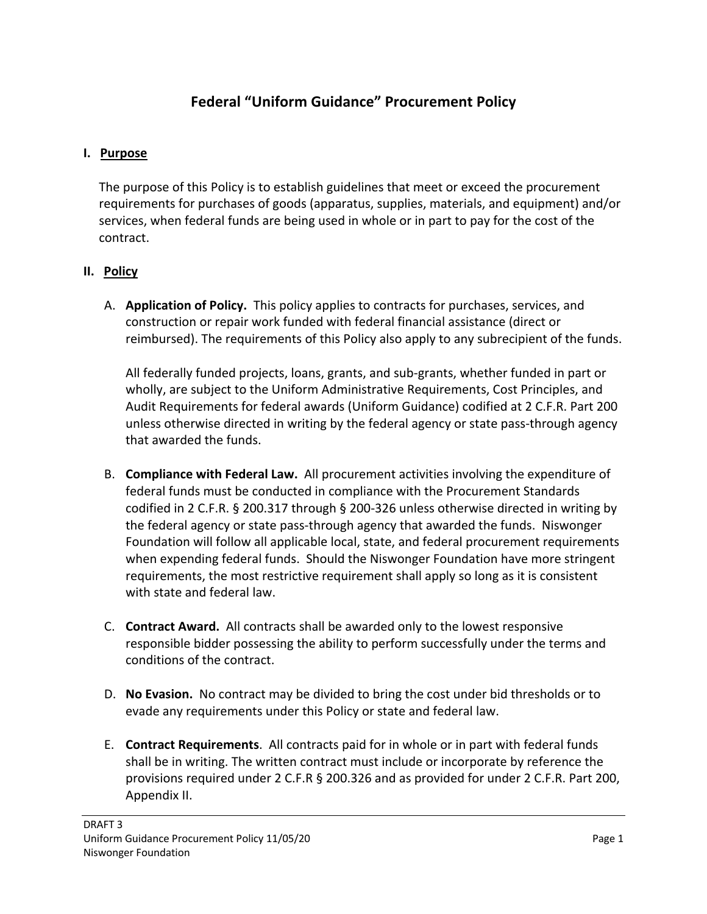# **Federal "Uniform Guidance" Procurement Policy**

#### **I. Purpose**

The purpose of this Policy is to establish guidelines that meet or exceed the procurement requirements for purchases of goods (apparatus, supplies, materials, and equipment) and/or services, when federal funds are being used in whole or in part to pay for the cost of the contract.

#### **II. Policy**

A. **Application of Policy.** This policy applies to contracts for purchases, services, and construction or repair work funded with federal financial assistance (direct or reimbursed). The requirements of this Policy also apply to any subrecipient of the funds.

All federally funded projects, loans, grants, and sub-grants, whether funded in part or wholly, are subject to the Uniform Administrative Requirements, Cost Principles, and Audit Requirements for federal awards (Uniform Guidance) codified at 2 C.F.R. Part 200 unless otherwise directed in writing by the federal agency or state pass-through agency that awarded the funds.

- B. **Compliance with Federal Law.** All procurement activities involving the expenditure of federal funds must be conducted in compliance with the Procurement Standards codified in 2 C.F.R. § 200.317 through § 200-326 unless otherwise directed in writing by the federal agency or state pass-through agency that awarded the funds. Niswonger Foundation will follow all applicable local, state, and federal procurement requirements when expending federal funds. Should the Niswonger Foundation have more stringent requirements, the most restrictive requirement shall apply so long as it is consistent with state and federal law.
- C. **Contract Award.** All contracts shall be awarded only to the lowest responsive responsible bidder possessing the ability to perform successfully under the terms and conditions of the contract.
- D. **No Evasion.** No contract may be divided to bring the cost under bid thresholds or to evade any requirements under this Policy or state and federal law.
- E. **Contract Requirements**. All contracts paid for in whole or in part with federal funds shall be in writing. The written contract must include or incorporate by reference the provisions required under 2 C.F.R § 200.326 and as provided for under 2 C.F.R. Part 200, Appendix II.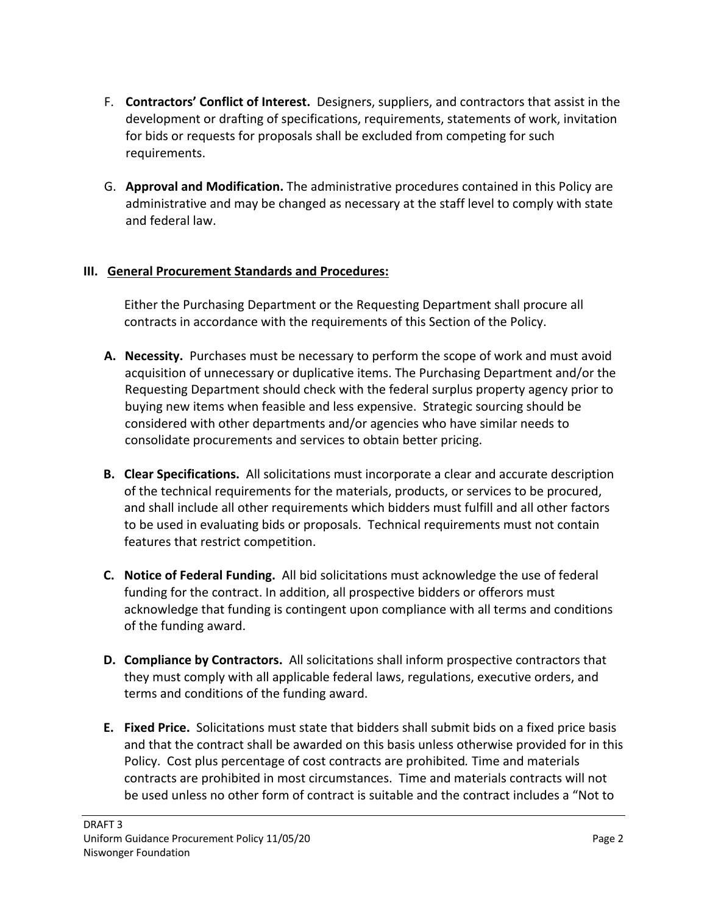- F. **Contractors' Conflict of Interest.** Designers, suppliers, and contractors that assist in the development or drafting of specifications, requirements, statements of work, invitation for bids or requests for proposals shall be excluded from competing for such requirements.
- G. **Approval and Modification.** The administrative procedures contained in this Policy are administrative and may be changed as necessary at the staff level to comply with state and federal law.

#### **III. General Procurement Standards and Procedures:**

Either the Purchasing Department or the Requesting Department shall procure all contracts in accordance with the requirements of this Section of the Policy.

- **A. Necessity.** Purchases must be necessary to perform the scope of work and must avoid acquisition of unnecessary or duplicative items. The Purchasing Department and/or the Requesting Department should check with the federal surplus property agency prior to buying new items when feasible and less expensive. Strategic sourcing should be considered with other departments and/or agencies who have similar needs to consolidate procurements and services to obtain better pricing.
- **B. Clear Specifications.** All solicitations must incorporate a clear and accurate description of the technical requirements for the materials, products, or services to be procured, and shall include all other requirements which bidders must fulfill and all other factors to be used in evaluating bids or proposals. Technical requirements must not contain features that restrict competition.
- **C. Notice of Federal Funding.** All bid solicitations must acknowledge the use of federal funding for the contract. In addition, all prospective bidders or offerors must acknowledge that funding is contingent upon compliance with all terms and conditions of the funding award.
- **D. Compliance by Contractors.** All solicitations shall inform prospective contractors that they must comply with all applicable federal laws, regulations, executive orders, and terms and conditions of the funding award.
- **E. Fixed Price.** Solicitations must state that bidders shall submit bids on a fixed price basis and that the contract shall be awarded on this basis unless otherwise provided for in this Policy. Cost plus percentage of cost contracts are prohibited*.* Time and materials contracts are prohibited in most circumstances. Time and materials contracts will not be used unless no other form of contract is suitable and the contract includes a "Not to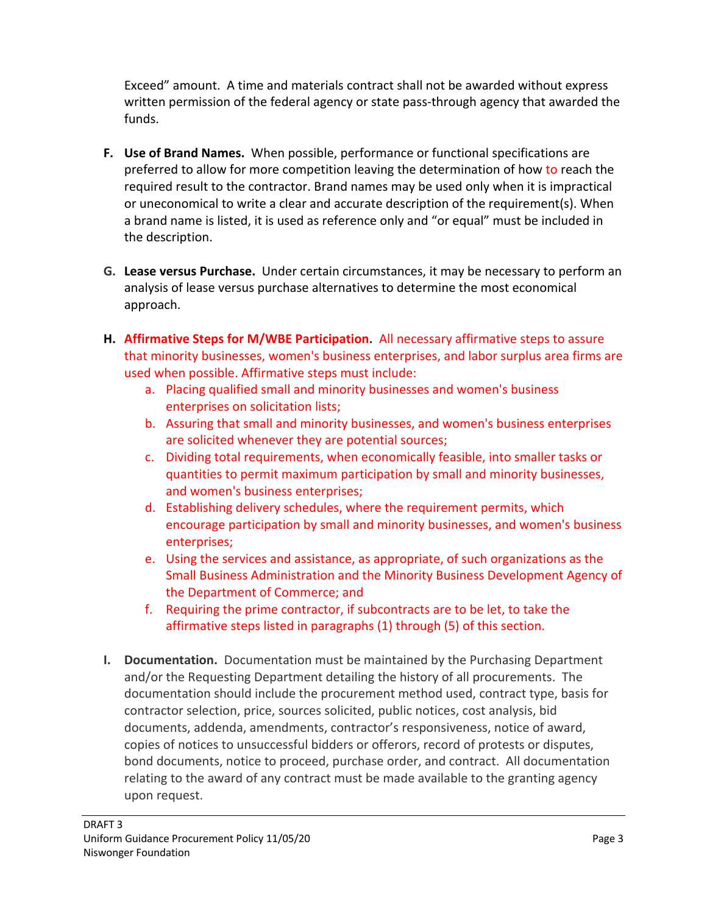Exceed" amount. A time and materials contract shall not be awarded without express written permission of the federal agency or state pass-through agency that awarded the funds.

- **F. Use of Brand Names.** When possible, performance or functional specifications are preferred to allow for more competition leaving the determination of how to reach the required result to the contractor. Brand names may be used only when it is impractical or uneconomical to write a clear and accurate description of the requirement(s). When a brand name is listed, it is used as reference only and "or equal" must be included in the description.
- **G. Lease versus Purchase.** Under certain circumstances, it may be necessary to perform an analysis of lease versus purchase alternatives to determine the most economical approach.
- **H. Affirmative Steps for M/WBE Participation.** All necessary affirmative steps to assure that minority businesses, women's business enterprises, and labor surplus area firms are used when possible. Affirmative steps must include:
	- a. Placing qualified small and minority businesses and women's business enterprises on solicitation lists;
	- b. Assuring that small and minority businesses, and women's business enterprises are solicited whenever they are potential sources;
	- c. Dividing total requirements, when economically feasible, into smaller tasks or quantities to permit maximum participation by small and minority businesses, and women's business enterprises;
	- d. Establishing delivery schedules, where the requirement permits, which encourage participation by small and minority businesses, and women's business enterprises;
	- e. Using the services and assistance, as appropriate, of such organizations as the Small Business Administration and the Minority Business Development Agency of the Department of Commerce; and
	- f. Requiring the prime contractor, if subcontracts are to be let, to take the affirmative steps listed in paragraphs (1) through (5) of this section.
- **I. Documentation.** Documentation must be maintained by the Purchasing Department and/or the Requesting Department detailing the history of all procurements. The documentation should include the procurement method used, contract type, basis for contractor selection, price, sources solicited, public notices, cost analysis, bid documents, addenda, amendments, contractor's responsiveness, notice of award, copies of notices to unsuccessful bidders or offerors, record of protests or disputes, bond documents, notice to proceed, purchase order, and contract. All documentation relating to the award of any contract must be made available to the granting agency upon request.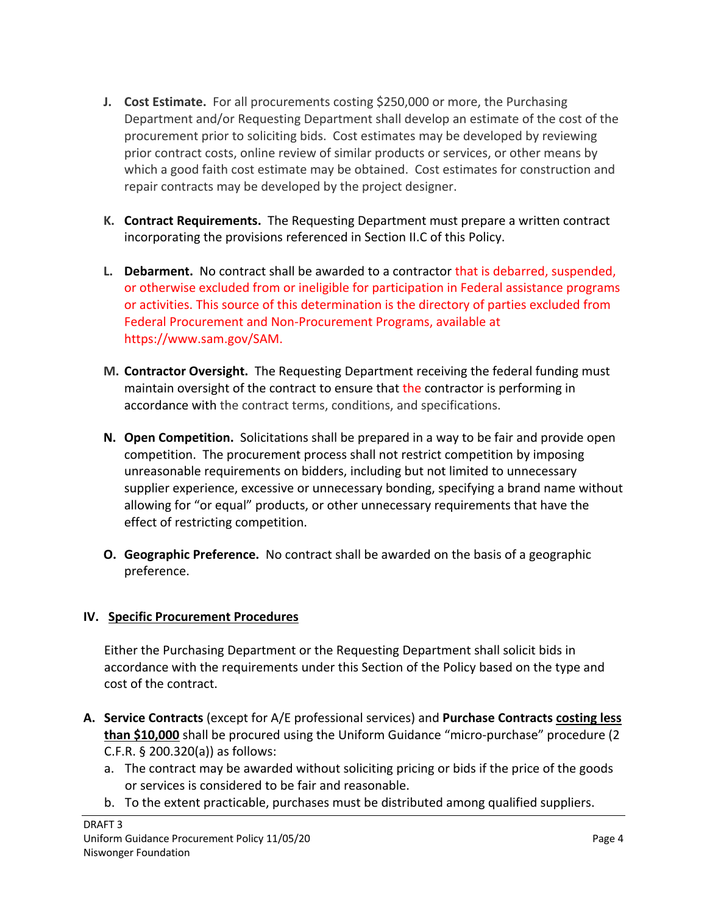- **J. Cost Estimate.** For all procurements costing \$250,000 or more, the Purchasing Department and/or Requesting Department shall develop an estimate of the cost of the procurement prior to soliciting bids. Cost estimates may be developed by reviewing prior contract costs, online review of similar products or services, or other means by which a good faith cost estimate may be obtained. Cost estimates for construction and repair contracts may be developed by the project designer.
- **K. Contract Requirements.** The Requesting Department must prepare a written contract incorporating the provisions referenced in Section II.C of this Policy.
- **L. Debarment.** No contract shall be awarded to a contractor that is debarred, suspended, or otherwise excluded from or ineligible for participation in Federal assistance programs or activities. This source of this determination is the directory of parties excluded from Federal Procurement and Non-Procurement Programs, available at https://www.sam.gov/SAM.
- **M. Contractor Oversight.** The Requesting Department receiving the federal funding must maintain oversight of the contract to ensure that the contractor is performing in accordance with the contract terms, conditions, and specifications.
- **N. Open Competition.** Solicitations shall be prepared in a way to be fair and provide open competition. The procurement process shall not restrict competition by imposing unreasonable requirements on bidders, including but not limited to unnecessary supplier experience, excessive or unnecessary bonding, specifying a brand name without allowing for "or equal" products, or other unnecessary requirements that have the effect of restricting competition.
- **O. Geographic Preference.** No contract shall be awarded on the basis of a geographic preference.

### **IV. Specific Procurement Procedures**

Either the Purchasing Department or the Requesting Department shall solicit bids in accordance with the requirements under this Section of the Policy based on the type and cost of the contract.

- **A. Service Contracts** (except for A/E professional services) and **Purchase Contracts costing less than \$10,000** shall be procured using the Uniform Guidance "micro-purchase" procedure (2 C.F.R. § 200.320(a)) as follows:
	- a. The contract may be awarded without soliciting pricing or bids if the price of the goods or services is considered to be fair and reasonable.
	- b. To the extent practicable, purchases must be distributed among qualified suppliers.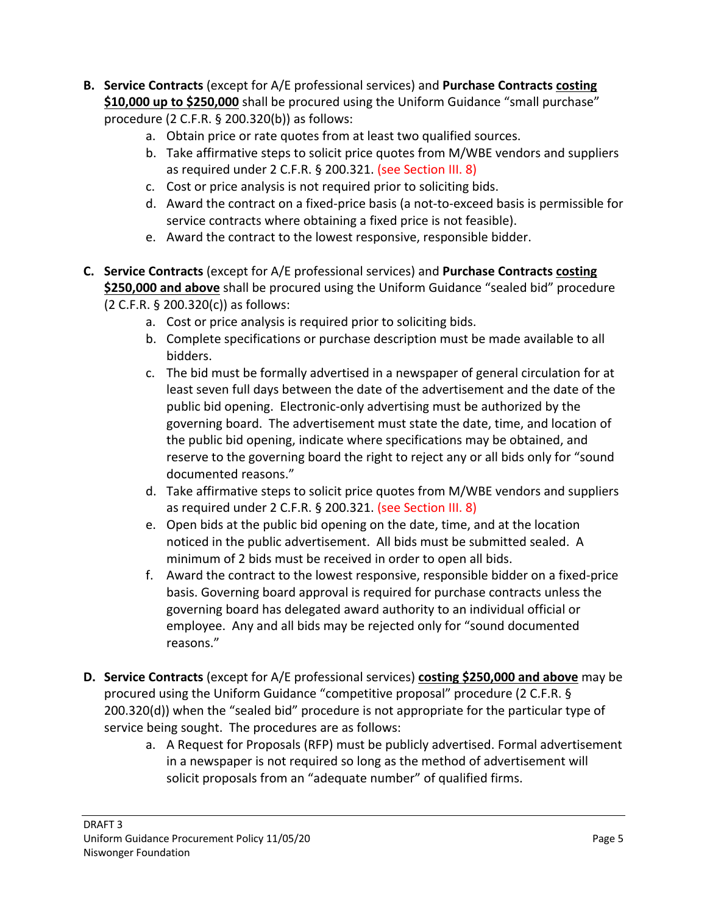- **B. Service Contracts** (except for A/E professional services) and **Purchase Contracts costing \$10,000 up to \$250,000** shall be procured using the Uniform Guidance "small purchase" procedure (2 C.F.R. § 200.320(b)) as follows:
	- a. Obtain price or rate quotes from at least two qualified sources.
	- b. Take affirmative steps to solicit price quotes from M/WBE vendors and suppliers as required under 2 C.F.R. § 200.321. (see Section III. 8)
	- c. Cost or price analysis is not required prior to soliciting bids.
	- d. Award the contract on a fixed-price basis (a not-to-exceed basis is permissible for service contracts where obtaining a fixed price is not feasible).
	- e. Award the contract to the lowest responsive, responsible bidder.
- **C. Service Contracts** (except for A/E professional services) and **Purchase Contracts costing \$250,000 and above** shall be procured using the Uniform Guidance "sealed bid" procedure (2 C.F.R. § 200.320(c)) as follows:
	- a. Cost or price analysis is required prior to soliciting bids.
	- b. Complete specifications or purchase description must be made available to all bidders.
	- c. The bid must be formally advertised in a newspaper of general circulation for at least seven full days between the date of the advertisement and the date of the public bid opening. Electronic-only advertising must be authorized by the governing board. The advertisement must state the date, time, and location of the public bid opening, indicate where specifications may be obtained, and reserve to the governing board the right to reject any or all bids only for "sound documented reasons."
	- d. Take affirmative steps to solicit price quotes from M/WBE vendors and suppliers as required under 2 C.F.R. § 200.321. (see Section III. 8)
	- e. Open bids at the public bid opening on the date, time, and at the location noticed in the public advertisement. All bids must be submitted sealed. A minimum of 2 bids must be received in order to open all bids.
	- f. Award the contract to the lowest responsive, responsible bidder on a fixed-price basis. Governing board approval is required for purchase contracts unless the governing board has delegated award authority to an individual official or employee. Any and all bids may be rejected only for "sound documented reasons."
- **D. Service Contracts** (except for A/E professional services) **costing \$250,000 and above** may be procured using the Uniform Guidance "competitive proposal" procedure (2 C.F.R. § 200.320(d)) when the "sealed bid" procedure is not appropriate for the particular type of service being sought. The procedures are as follows:
	- a. A Request for Proposals (RFP) must be publicly advertised. Formal advertisement in a newspaper is not required so long as the method of advertisement will solicit proposals from an "adequate number" of qualified firms.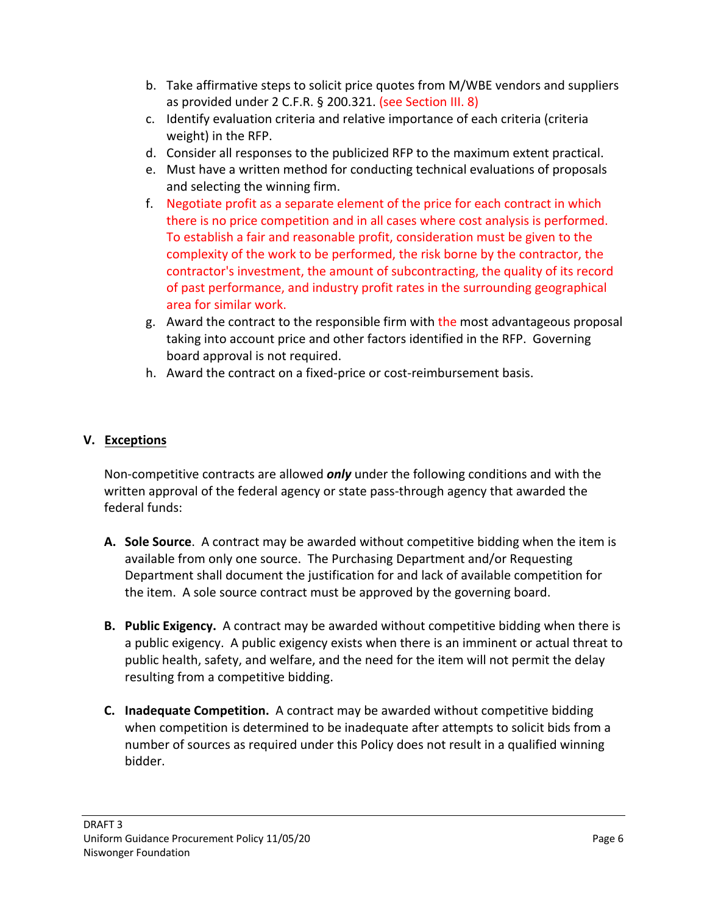- b. Take affirmative steps to solicit price quotes from M/WBE vendors and suppliers as provided under 2 C.F.R. § 200.321. (see Section III. 8)
- c. Identify evaluation criteria and relative importance of each criteria (criteria weight) in the RFP.
- d. Consider all responses to the publicized RFP to the maximum extent practical.
- e. Must have a written method for conducting technical evaluations of proposals and selecting the winning firm.
- f. Negotiate profit as a separate element of the price for each contract in which there is no price competition and in all cases where cost analysis is performed. To establish a fair and reasonable profit, consideration must be given to the complexity of the work to be performed, the risk borne by the contractor, the contractor's investment, the amount of subcontracting, the quality of its record of past performance, and industry profit rates in the surrounding geographical area for similar work.
- g. Award the contract to the responsible firm with the most advantageous proposal taking into account price and other factors identified in the RFP. Governing board approval is not required.
- h. Award the contract on a fixed-price or cost-reimbursement basis.

## **V. Exceptions**

Non-competitive contracts are allowed *only* under the following conditions and with the written approval of the federal agency or state pass-through agency that awarded the federal funds:

- **A. Sole Source**. A contract may be awarded without competitive bidding when the item is available from only one source. The Purchasing Department and/or Requesting Department shall document the justification for and lack of available competition for the item. A sole source contract must be approved by the governing board.
- **B. Public Exigency.** A contract may be awarded without competitive bidding when there is a public exigency. A public exigency exists when there is an imminent or actual threat to public health, safety, and welfare, and the need for the item will not permit the delay resulting from a competitive bidding.
- **C. Inadequate Competition.** A contract may be awarded without competitive bidding when competition is determined to be inadequate after attempts to solicit bids from a number of sources as required under this Policy does not result in a qualified winning bidder.